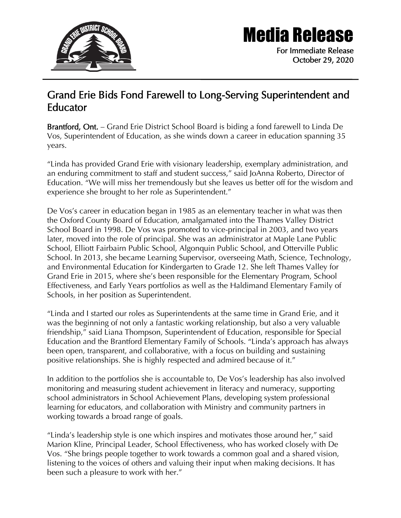

## Media Release

For Immediate Release October 29, 2020

## Grand Erie Bids Fond Farewell to Long-Serving Superintendent and Educator

Brantford, Ont. – Grand Erie District School Board is biding a fond farewell to Linda De Vos, Superintendent of Education, as she winds down a career in education spanning 35 years.

"Linda has provided Grand Erie with visionary leadership, exemplary administration, and an enduring commitment to staff and student success," said JoAnna Roberto, Director of Education. "We will miss her tremendously but she leaves us better off for the wisdom and experience she brought to her role as Superintendent."

De Vos's career in education began in 1985 as an elementary teacher in what was then the Oxford County Board of Education, amalgamated into the Thames Valley District School Board in 1998. De Vos was promoted to vice-principal in 2003, and two years later, moved into the role of principal. She was an administrator at Maple Lane Public School, Elliott Fairbairn Public School, Algonquin Public School, and Otterville Public School. In 2013, she became Learning Supervisor, overseeing Math, Science, Technology, and Environmental Education for Kindergarten to Grade 12. She left Thames Valley for Grand Erie in 2015, where she's been responsible for the Elementary Program, School Effectiveness, and Early Years portfolios as well as the Haldimand Elementary Family of Schools, in her position as Superintendent.

"Linda and I started our roles as Superintendents at the same time in Grand Erie, and it was the beginning of not only a fantastic working relationship, but also a very valuable friendship," said Liana Thompson, Superintendent of Education, responsible for Special Education and the Brantford Elementary Family of Schools. "Linda's approach has always been open, transparent, and collaborative, with a focus on building and sustaining positive relationships. She is highly respected and admired because of it."

In addition to the portfolios she is accountable to, De Vos's leadership has also involved monitoring and measuring student achievement in literacy and numeracy, supporting school administrators in School Achievement Plans, developing system professional learning for educators, and collaboration with Ministry and community partners in working towards a broad range of goals.

"Linda's leadership style is one which inspires and motivates those around her," said Marion Kline, Principal Leader, School Effectiveness, who has worked closely with De Vos. "She brings people together to work towards a common goal and a shared vision, listening to the voices of others and valuing their input when making decisions. It has been such a pleasure to work with her."